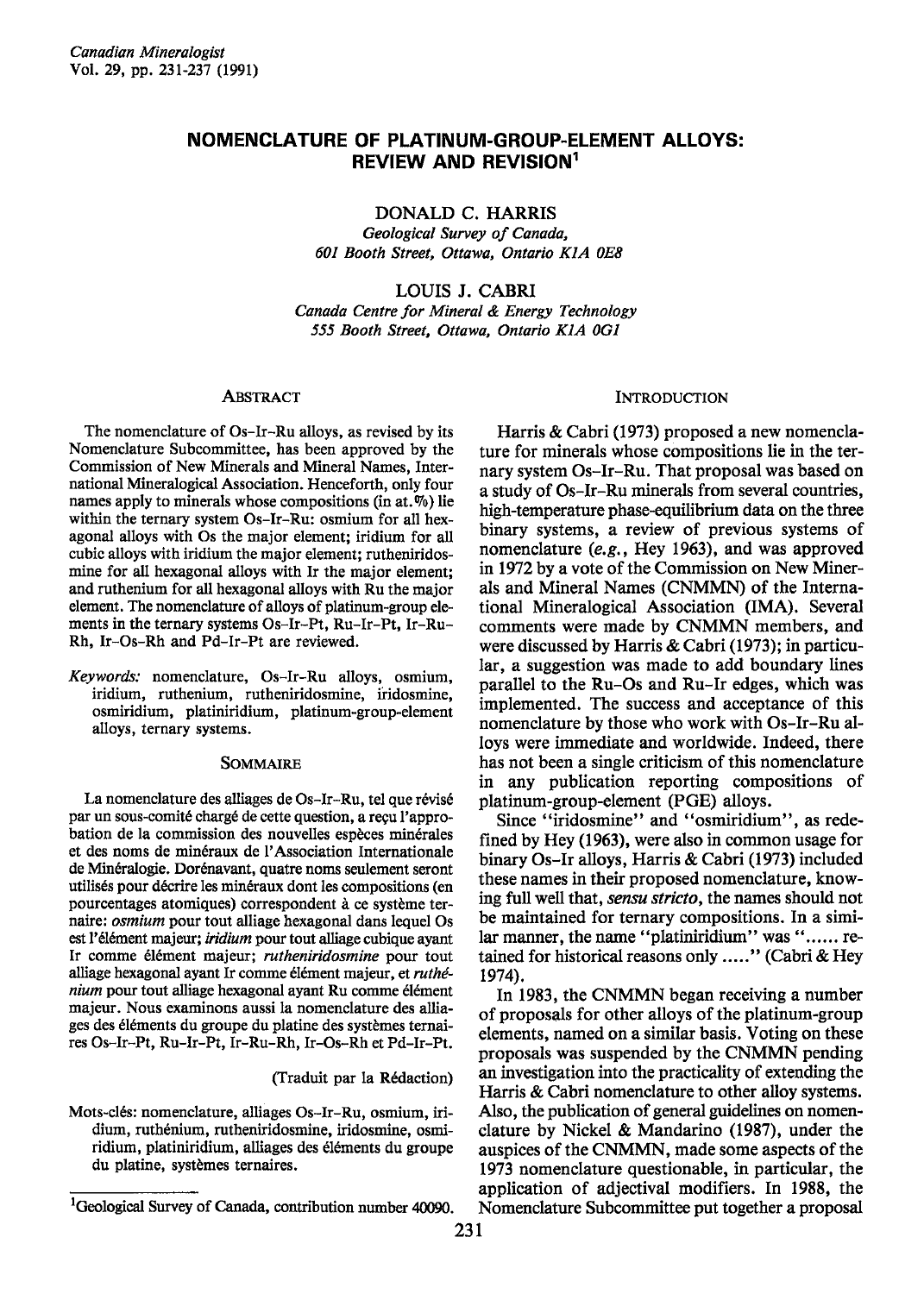# NOMENCLATURE OF PLATINUM.GROUP.ELEMENT ALLOYS: REVIEW AND REVISION<sup>1</sup>

DONALD C. HARRIS

Geological Survey of Canada, 601 Booth Street, Ottawa, Ontario K1A 0E8

LOUIS J. CABRI

Canada Centre for Mineral & Energy Technology 555 Booth Street, Ottawa, Ontario K1A 0G1

#### **ABSTRACT**

The nomenclature of Os-Ir-Ru alloys, as revised by its Nomenclature Subcommittee, has been approved by the Commission of New Minerals and Mineral Names, International Mineralogical Association. Henceforth, only four names apply to minerals whose compositions (in at. $\%$ ) lie within the ternary system Os-Ir-Ru: osmium for all hexagonal alloys with Os the major element; iridium for all cubic alloys with iridium the major element; rutheniridosmine for all hexagonal alloys with Ir the major element; and ruthenium for all hexagonal alloys with Ru the major element. The nomenclature of alloys of platinum-group elements in the ternary systems  $Os-Ir-Pt$ , Ru-Ir-Pt, Ir-Ru-Rh, Ir-Os-Rh and Pd-Ir-Pt are reviewed.

Keywords: nomenclature, Os-Ir-Ru alloys, osmium, iridium, ruthenium, rutheniridosmine, iridosmine, osmiridium, platiniridium, platinum-group-element alloys, ternary systems.

#### SOMMAIRE

La nomenclature des alliages de Os-Ir-Ru, tel que révisé par un sous-comité chargé de cette question, a reçu l'approbation de la commission des nouvelles espèces minérales et des noms de minéraux de l'Association Internationale de Min6ralogie. Dor6navant, quatre noms seulement seront utilisés pour décrire les minéraux dont les compositions (en pourcentages atomiques) correspondent à ce système ternaire: osmium pour tout alliage hexagonal dans lequel Os est l'élément majeur; iridium pour tout alliage cubique ayant Ir comme élément majeur; rutheniridosmine pour tout alliage hexagonal ayant Ir comme élément majeur, et ruthénium pour tout alliage hexagonal ayant Ru comme élément majeur. Nous examinons aussi la nomenclature des alliages des éléments du groupe du platine des systèmes ternaires Os-Ir-Pt, Ru-Ir-Pt, Ir-Ru-Rh, Ir-Os-Rh et Pd-Ir-F[.

(Traduit par la Rédaction)

Mots-des: nomenclature, alliages Os-Ir-Ru, osmium, iridium, ruthénium, rutheniridosmine, iridosmine, osmiridium, platiniridium, alliages des éléments du groupe du platine, systemes ternaires.

## **INTRODUCTION**

Harris & Cabri (1973) proposed a new nomenclature for minerals whose compositions lie in the ternary system Os-Ir-Ru. That proposal was based on a study of Os-Ir-Ru minerals from several countries, high-temperature phase-equilibrium data on the three binary systems, a review of previous systems of nomenclature (e.g., Hey 1963), and was approved in 1972 by a vote of the Commission on New Minerals and Mineral Names (CNMMN) of the International Mineralogical Association (IMA). Several comments were made by CNMMN members, and were discussed by Harris & Cabri (1973); in particular, a suggestion was made to add boundary lines parallel to the Ru-Os and Ru-Ir edges, which was implemented. The success and acceptance of this nomenclature by those who work with Os-Ir-Ru alloys were immediate and worldwide. Indeed, there has not been a single criticism of this nomenclature in any publication reporting compositions of platinum-group-element (PGE) alloys.

Since "iridosmine" and "osmiridium", as redefined by Hey (1963), were also in common usage for binary Os-Ir alloys, Harris & Cabri (1973) included these names in their proposed nomenclature, knowing full well that, sensu stricto, the names should not be maintained for ternary compositions. In a similar manner, the name "platiniridium" was "...... retained for historical reasons only ....." (Cabri & Hey 1974).

In 1983, the CNMMN began receiving a number of proposals for other alloys of the platinum-group elements, named on a similar basis. Voting on these proposals was suspended by the CNMMN pending an investigation into the practicality of extending the Harris & Cabri nomenclature to other alloy systems. Also, the publication of general guidelines on nomenclature by Nickel & Mandarino (1987), under the auspices of the CNMMN, made some aspects of the 1973 nomenclature questionable, in particular, the application of adjectival modifiers. In 1988, the Nomenclature Subcommittee put together a proposal

<sup>&</sup>lt;sup>1</sup>Geological Survey of Canada, contribution number 40090.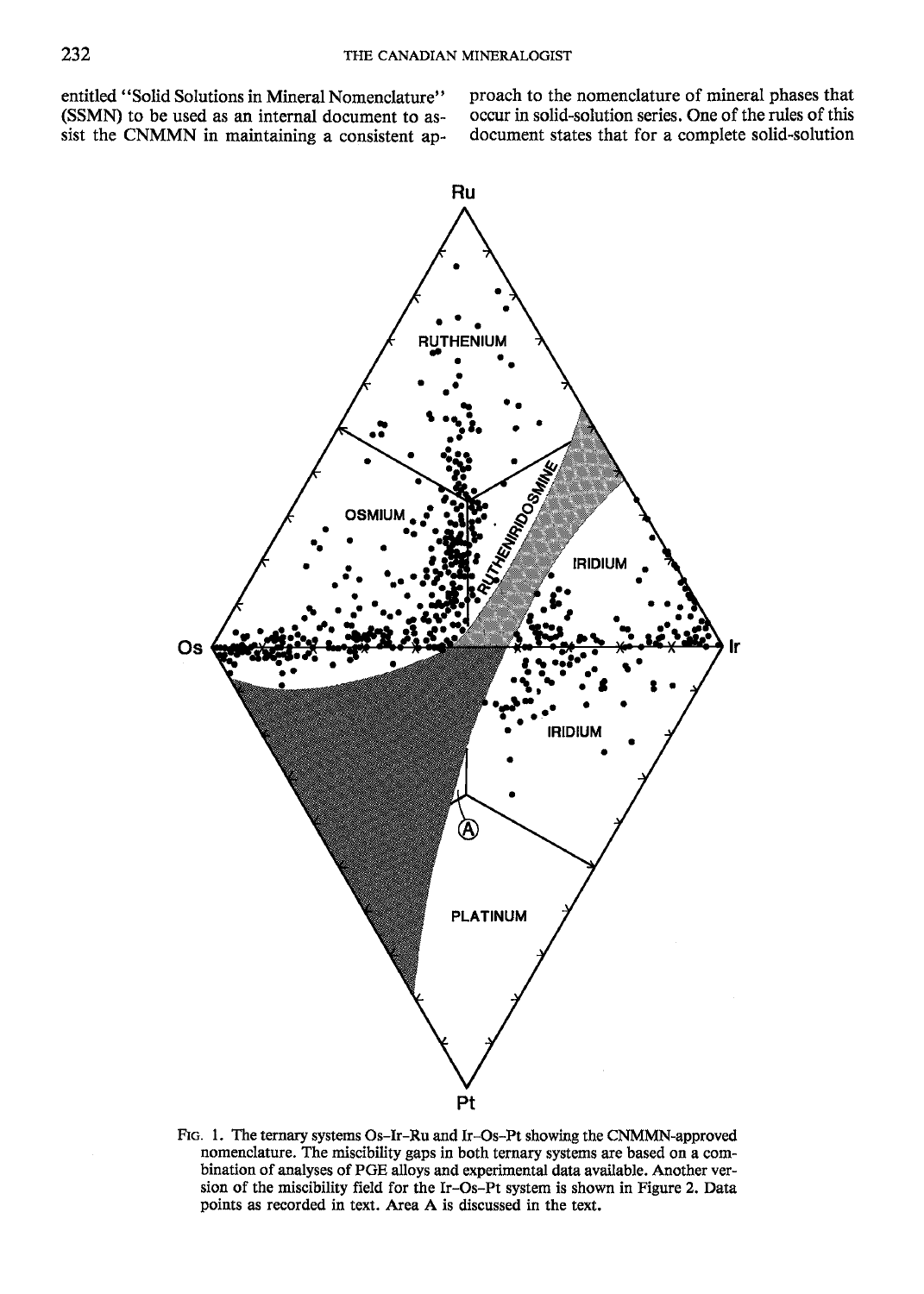entitled "Solid Solutions in Mineral Nomenclature" (SSMN) to be used as an internal document to assist the CNMMN in maintaining a consistent approach to the nomenclature of mineral phases that occur in solid-solution series. One of the rules of this document states that for a complete solid-solution



FIG. 1. The ternary systems Os-Ir-Ru and Ir-Os-Pt showing the CNMMN-approved nomenclature. The miscibility gaps in both ternary systems are based on a combination of analyses of PGE alloys and experimental data available. Another version of the miscibility field for the Ir-Os-Pt system is shown in Figure 2. Data points as recorded in text. Area A is discussed in the text.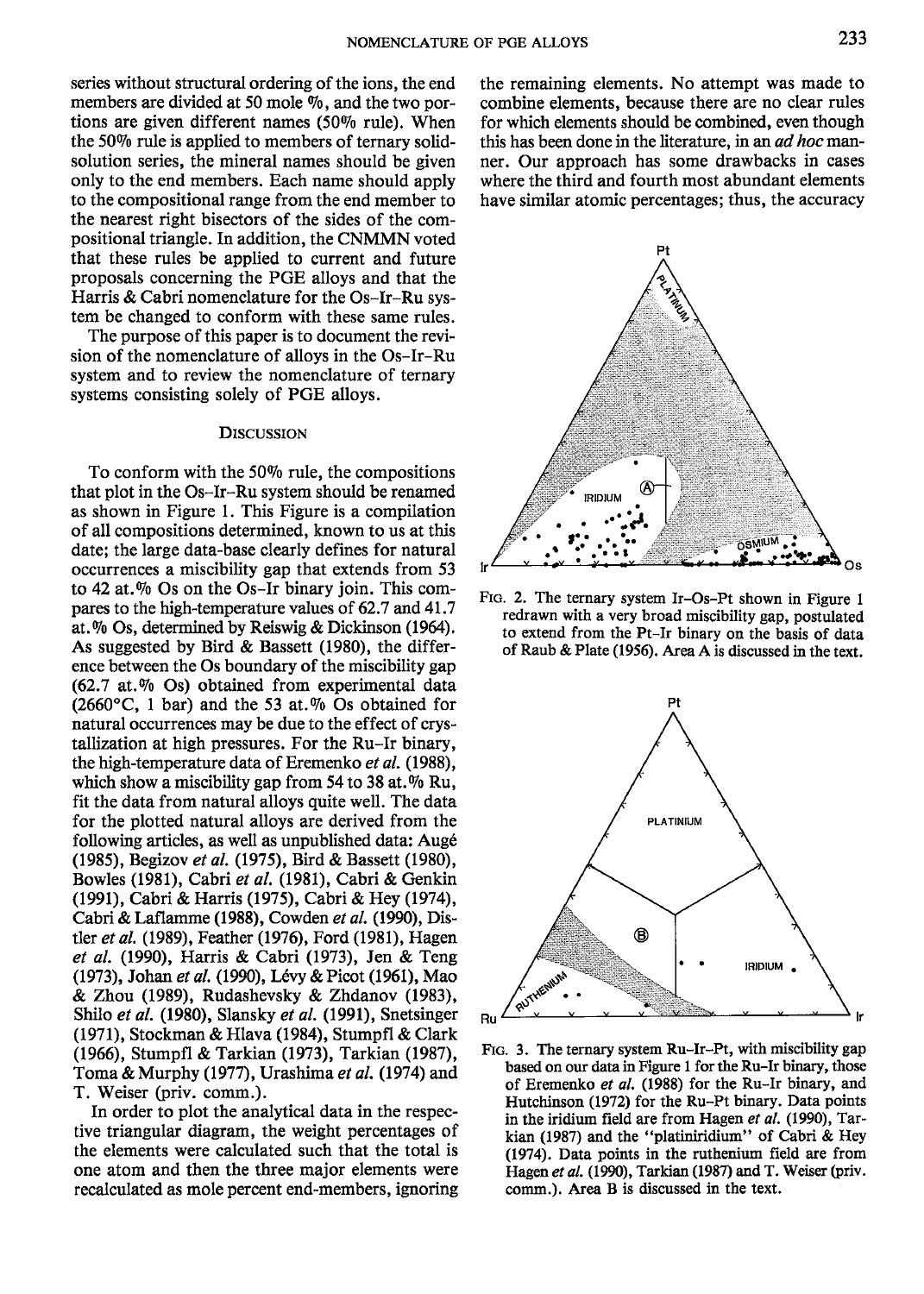series without structural ordering of the ions, the end members are divided at 50 mole  $\%$ , and the two portions are given different names (50% rule). When the 5090 rule is applied to members of ternary solidsolution series, the mineral names should be given only to the end members. Each name should apply to the compositional range from the end member to the nearest right bisectors of the sides of the compositional triangle. In addition, the CNMMN voted that these rules be applied to current and future proposals concerning the PGE alloys and that the Harris & Cabri nomenclature for the Os-Ir-Ru system be changed to conform with these same rules.

The purpose of this paper is to document the revision of the nomenclature of alloys in the Os-Ir-Ru system and to review the nomenclature of ternary systems consisting solely of PGE alloys.

#### DISCUSSION

To conform with the 50Vo rule, the compositions that plot in the Os-Ir-Ru system should be renamed as shown in Figure l. This Figure is a compilation of all compositions determined, known to us at this date; the large data-base clearly defines for natural occurrences a miscibility gap that extends from 53 to 42 at.% Os on the Os-Ir binary join. This compares to the high-temperature values of 62.7 and 41.7 at.Vo Os, determined by Reiswig & Dickinson (1964). As suggested by Bird & Bassett (1980), the difference between the Os boundary of the miscibility gap  $(62.7 \text{ at. } \% \text{ Os})$  obtained from experimental data  $(2660\degree C, 1 \text{ bar})$  and the 53 at.% Os obtained for natural occurrences may be due to the effect of crystallization at high pressures. For the Ru-Ir binary, the high-temperature data of Eremenko et al. (1988), which show a miscibility gap from 54 to 38 at. $%$  Ru, fit the data from natural alloys quite well. The data for the plotted natural alloys are derived from the following articles, as well as unpublished data: Aug6 (1985), Begizov et al. (1975), Bird & Bassett (1980), Bowles (1981), Cabri et al. (1981), Cabri & Genkin (1991), Cabri & Harris (1975), Cabri & Hey (1974), Cabri & Laflamme (1988), Cowden et al. (1990), Distler et al. (1989), Feather (1976), Ford (1981), Hagen et al. (1990), Harris & Cabri (1973), Jen & Teng (1973), Johan et al. (1990), Lévy & Picot (1961), Mao & Zhou (1989), Rudashevsky & Zhdanov (1983), Shilo et al. (1980), Slansky et al. (1991), Snetsinger (1971), Stockman & Hlava (1984), Stumpfl & Clark (1966), Stumpfl & Tarkian (1973), Tarkian (1987), Toma & Murphy (1977), Urashima et al. (1974) and T. Weiser (priv. comm.).

In order to plot the analytical data in the respective triangular diagram, the weight percentages of the elements were calculated such that the total is one atom and then the three major elements were recalculated as mole percent end-members, ignoring the remaining elements. No attempt was made to combine elements, because there are no clear rules for which elements should be combined, even though this has been done in the literature, in an *ad hoc* manner. Our approach has some drawbacks in cases where the third and fourth most abundant elements have similar atomic percentages; thus, the accuracy



FIc. 2. The ternary system Ir-Os-Pt shown in Figure I redrawn with a very broad miscibility gap, postulated to extend from the Pt-Ir binary on the basis of data of Raub & Plate (1956). Area A is discussed in the text.



FIG. 3. The ternary system Ru-Ir-Pt, with miscibility gap based on our data in Figure 1 for the Ru-Ir binary, those of Eremenko et al. (1988) for the Ru-Ir binary, and Hutchinson (1972) for the Ru-Pt binary. Data points in the iridium field are from Hagen et al. (1990), Tarkian (1987) and the "platiniridium" of Cabri & Hey (1974). Data points in the ruthenium field are from Hagen et al. (1990), Tarkian (1987) and T. Weiser (priv. comm.). Area B is discussed in the text.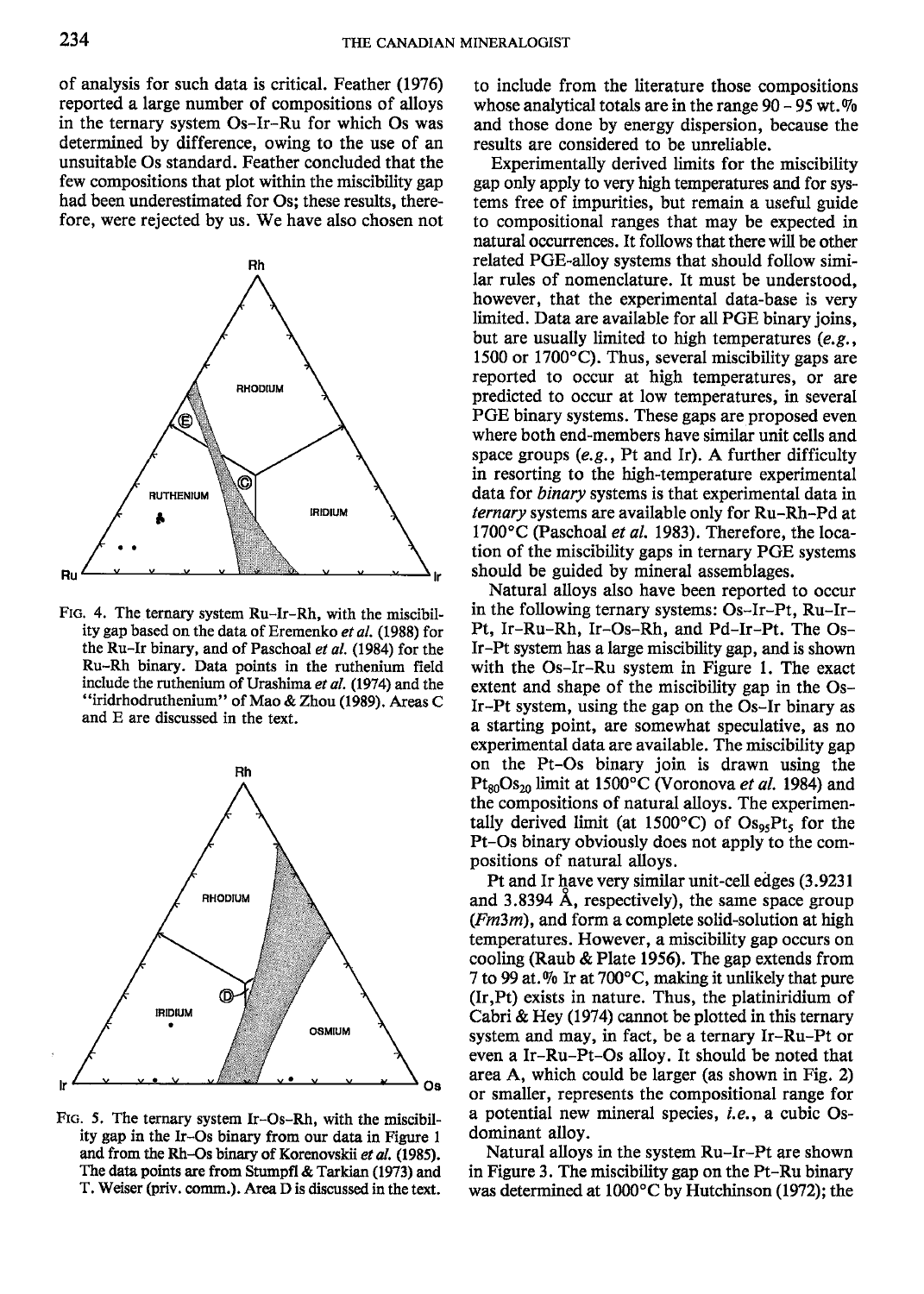of analysis for such data is critical. Feather (1976) reported a large number of compositions of alloys in the ternary system Os-Ir-Ru for which Os was determined by difference, owing to the use of an unsuitable Os standard. Feather concluded that the few compositions that plot within the miscibility gap had been underestimated for Os; these results, therefore, were rejected by us. We have also chosen not



FIG. 4. The ternary system Ru-Ir-Rh, with the miscibility gap based on the data of Eremenko et al. (1988) for the Ru-Ir binary, and of Paschoal et al. (1984) for the Ru-Rh binary. Data points in the ruthenium field include the ruthenium of Urashima et al.  $(1974)$  and the "iridrhodruthenium" of Mao & Zhou (1989). Areas C and E are discussed in the text.



FtG. 5. The ternary system Ir-Os-Rh, with the miscibility gap in the lr-Os binary from our data in Figure 1 and from the Rh-Os binary of Korenovskii et a/. (1985). The data points are from Stumpfl & Tarkian (1973) and T. Weiser (priv. comm.). Area D is discussed in the text.

to include from the literature those compositions whose analytical totals are in the range  $90 - 95$  wt. $\%$ and those done by energy dispersion, because the results are considered to be unreliable.

Experimentally derived limits for the miscibility gap only apply to very high temperatures and for systems free of impurities, but remain a useful guide to compositional ranges that may be expected in natural occurrences. It follows that there will be otler related PGE-alloy systems that should follow similar rules of nomenclature. It must be understood, however, that the experimental data-base is very limited. Data are available for all PGE binary joins, but are usually limited to high temperatures (e.g., 1500 or 1700 $^{\circ}$ C). Thus, several miscibility gaps are reported to occur at high temperatures, or are predicted to occur at low temperatures, in several PGE binary systems. These gaps are proposed even where both end-members have similar unit cells and space groups  $(e.g., Pt$  and Ir). A further difficulty in resorting to the high-temperature experimental data for binary systems is that experimental data in ternary syslems are available only for Ru-Rh-Pd at 1700 $\rm ^{o}C$  (Paschoal *et al.* 1983). Therefore, the location of the miscibility gaps in ternary PGE systems should be guided by mineral assemblages.

Natural alloys also have been reported to occur in the following ternary systems: Os-Ir-Pt, Ru-Ir-Pt, Ir-Ru-Rh, Ir-Os-Rh, and Pd-Ir-Pt. The Os-Ir-Ft system has a large miscibility gap, and is shown with the Os-Ir-Ru system in Figure l. The exact extent and shape of the miscibility gap in the Os-Ir-Pt system, using the gap on the Os-Ir binary as a starting point, are somewhat speculative, as no experimental data are available. The miscibility gap on the Pt-Os binary join is drawn using the  $Pt_{80}Os_{20}$  limit at 1500°C (Voronova *et al.* 1984) and the compositions of natural alloys. The experimentally derived limit (at  $1500^{\circ}$ C) of  $Os_{95}Pt_{5}$  for the Pt-Os binary obviously does not apply to the compositions of natural alloys.

Pt and Ir have very similar unit-cell edges (3.9231 and 3.8394 A, respectively), the same space group  $(Fm3m)$ , and form a complete solid-solution at high temperatures. However, a miscibility gap occurs on cooling (Raub & Plate 1950. The gap extends from 7 to 99 at.% Ir at 700 $^{\circ}$ C, making it unlikely that pure (Ir,Pt) exists in nature. Thus, the platiniridium of Cabri & Hey (1974) cannot be plotted in this ternary system and may, in fact, be a ternary Ir-Ru-Pt or even a Ir-Ru-Pt-Os alloy. It should be noted that area A, which could be larger (as shown in Fig. 2) or smaller, represents the compositional range for a potential new mineral species, i.e., a cubic Osdominant alloy.

Natural alloys in the system Ru-Ir-Pt are shown in Figure 3. The miscibility gap on the Pt-Ru binary was determined at  $1000^{\circ}$ C by Hutchinson (1972); the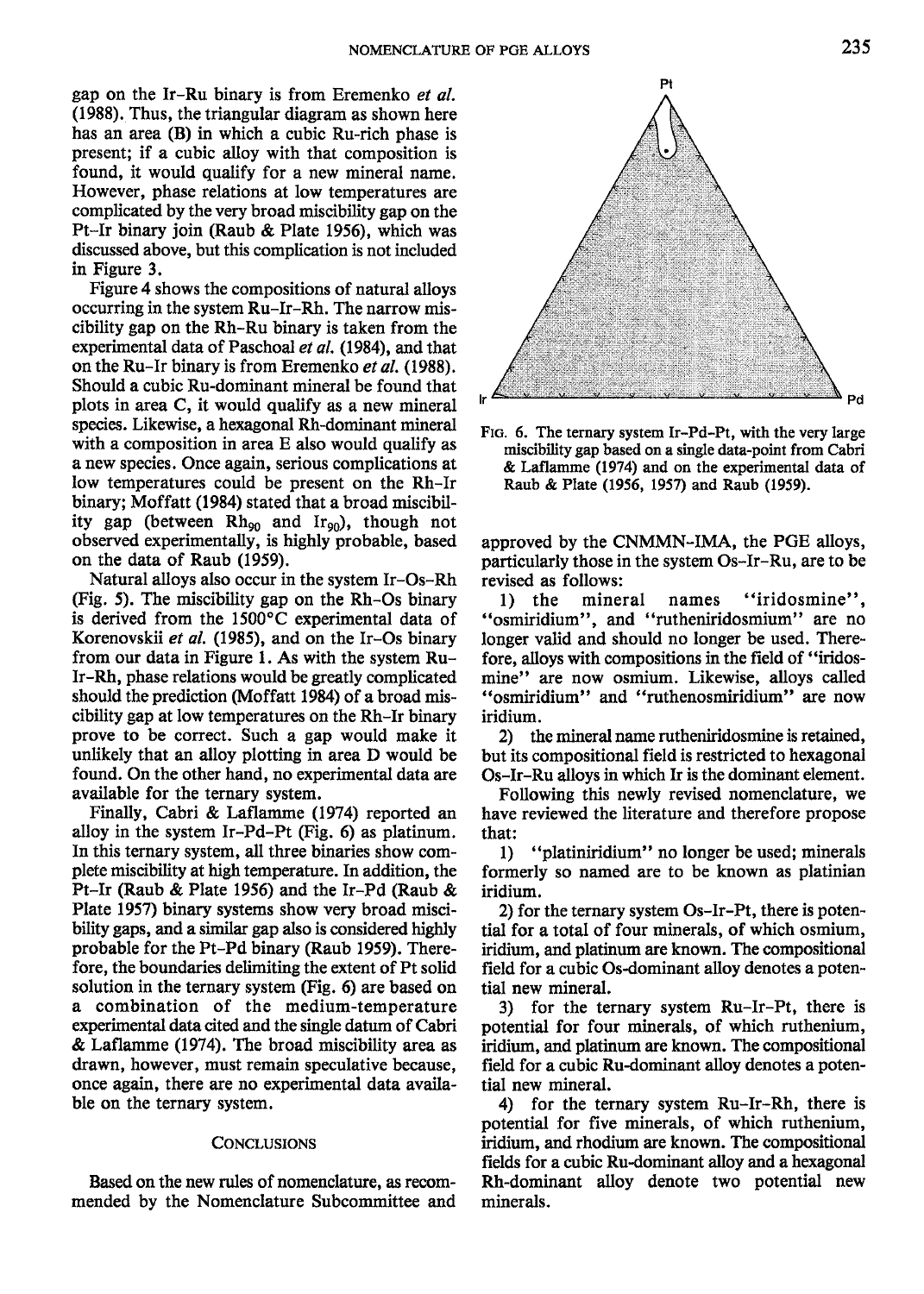gap on the Ir-Ru binary is from Eremenko et al. (1988). Thus, the triangular diagram as shown here has an area (B) in which a cubic Ru-rich phase is present; if a cubic alloy with that composition is found, it would qualify for a new mineral name. However, phase relations at low temperatures are complicated by the very broad miscibility gap on the Pt-Ir binary join (Raub & Plate 1956), which was discussed above, but this complication is not included in Figure 3.

Figure 4 shows the compositions of natural alloys occurring in the system Ru-Ir-Rh. The narrow miscibility gap on the  $Rh-Ru$  binary is taken from the experimental data of Paschoal et al, (1984), and that on the Ru-Ir binary is from Eremenko et al. (1988). Should a cubic Ru-dominant mineral be found that plots in area C, it would qualify as a new mineral species. Likewise, a hexagonal Rh-dominant mineral with a composition in area E also would qualify as a new species. Once again, serious complications at low temperatures could be present on the Rh-Ir binary; Moffatt (1984) stated that a broad miscibility gap (between  $Rh_{90}$  and  $Ir_{90}$ ), though not observed experimentally, is highly probable, based on the data of Raub (1959).

Natural alloys also occur in the system Ir-Os-Rh (Fig. 5). The miscibility gap on the Rh-Os binary is derived from the 1500'C experimental data of Korenovskii et al. (1985), and on the Ir-Os binary from our data in Figure l. As with the system Ru-Ir-Rh, phase relations would be greatly complicated should the prediction (Moffatt 1984) of a broad miscibility gap at low temperatures on the Rh-Ir binary proye to be correct. Such a gap would make it unlikely that an alloy plotting in area D would be found. On the other hand, no experimental data are available for the ternary system.

Finally, Cabri & Laflamme (1974) reported an alloy in the system Ir-Pd-Pt (Fie. 6) as platinum. In this ternary system, all three binaries show complete miscibility at high temperature. In addition, the Pt-Ir (Raub & Plate 1956) and the Ir-Pd (Raub & Plate 1957) binary systems show very broad miscibility gaps, and a similar gap also is considered hiehly probable for the Pt-Pd binary (Raub 1959). Therefore, the boundaries delimiting the extent of Pt solid solution in the ternary system (Fig. 6) are based on a combination of the medium-temperature experimental data cited and the single datum of Cabri & Laflamme (1974). The broad miscibility area as drawn, however, must remain speculative because, once again, there are no experimental data available on the ternary system.

### **CONCLUSIONS**

Based on the new rules of nomenclature, as recommended by the Nomenclature Subcommittee and



FIG. 6. The ternary system Ir-Pd-Pt, with the very large miscibility gap based on a single data-point from Cabri & Laflamme (1974) and on the experimental data of Raub & Plate (1956, 1957) and Raub (1959).

approved by the CNMMN-IMA, the PGE alloys, particularly those in the system Os-Ir-Ru, are to be revised as follows:

l) the mineral names "iridosmine", "osmiridium", and "rutheniridosmium" are no longer valid and should no longer be used. Therefore, alloys with compositions in the field of "iridosmine" are now osmium. Likewise, alloys called "osmiridium" and "ruthenosmiridium" are now iridium.

2) the mineral name rutheniridosmine is retained, but its compositional field is restricted to hexagonal Os-Ir-Ru alloys in which Ir is the dominant element.

Following this newly revised nomenclature, we have reviewed the literature and therefore propose that:

l) "platiniridium" no longer be used; minerals formerly so named are to be known as platinian iridium.

2) for the ternary system Os-Ir-Pt, there is potential for a total of four minerals, of which osmium, iridium, and platinum are known. The compositional field for a cubic Os-dominant alloy denotes a potential new mineral.

3) for the ternary system Ru-Ir-Pt, there is potential for four minerals, of which ruthenium, iridium, and platinum are known. The compositional field for a cubic Ru-dominant alloy denotes a potential new mineral.

4) for the ternary system Ru-Ir-M, there is potential for five minerals, of which ruthenium, iridium, and rhodium are known. The compositional fields for a cubic Ru-dominant alloy and a hexagonal Rh-dominant alloy denote two potential new minerals.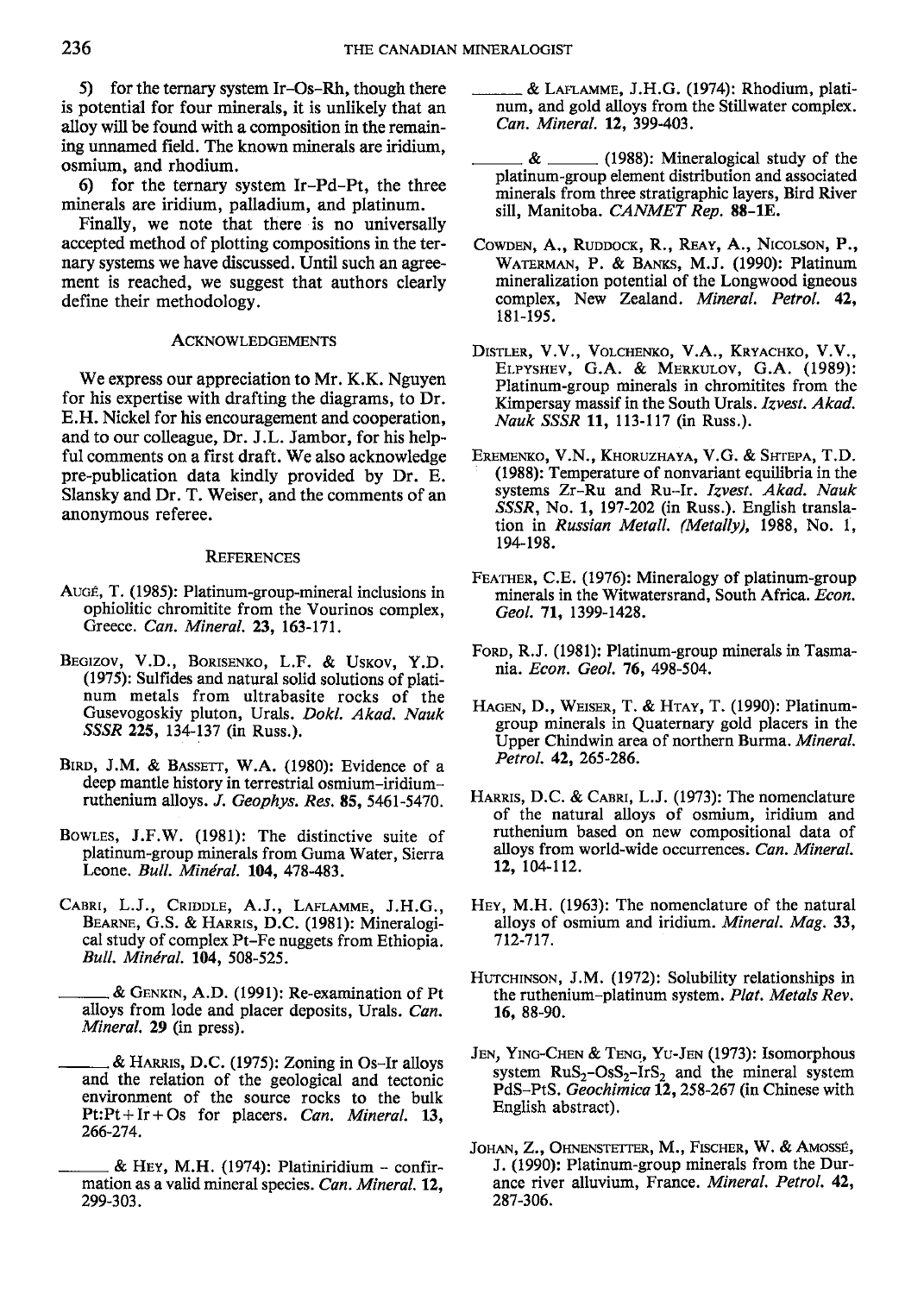5) for the ternary system Ir-Os-Rh, though there is potential for four minerals, it is unlikely that an alloy will be found with a composition in the remaining unnamed field. The known minerals are iridium, osmium, and rhodium.

O for the ternary system Ir-Pd-Pt, the three minerals are iridium, palladium, and platinum.

Finally, we note that there is no universally accepted method of plotting compositions in the ternary systems we have discussed. Until such an agreement is reached, we suggest that authors clearly define their methodology.

#### AcKNowLEDGEMENTS

We express our appreciation to Mr. K.K. Nguyen for his expertise with drafting the diagrams, to Dr. E.H. Nickel for his encouragement and cooperation, and to our colleague, Dr. J.L. Jambor, for his helpful comments on a first draft. We also acknowledge pre-publication data kindly provided by Dr. E. Slansky and Dr. T. Weiser, and the comments of an anonynous referee.

#### **REFERENCES**

- Auc€, T. (1985): Platinum-group-mineral inclusions in ophiolitic chromitite from the Vourinos complex, Greece. Can. Mineral. 23, 163-171,
- BEGIZOV, V.D., BORISENKO, L.F. & USKOV, Y.D. (1975): Sulfides and natural solid solutions of plati num metals from ultrabasite rocks of the Gusevogoskiy pluton, Urals. Dokl. Akad. Nauk SSSR 225, 134-137 (in Russ.).
- BIRD, J.M. & BASSETT, W.A. (1980): Evidence of a deep mantle history in terrestrial osmium-iridiumruthenium alloys. J. Geophys. Res. 85, 5461-5470.
- Bowles, J.F.W. (1981): The distinctive suite of platinum-group minerals from Guma Water, Sierra Leone. Bull. Minéral. 104, 478-483.
- CABRI, L.J., CRIDDLE, A.J., LAFLAMME, J.H.G., BEARNE, G.S. & HARRIS, D.C. (1981): Mineralogical study of complex Pt-Fe nuggets from Ethiopia. Bull. Mindral, 104. 508-525.

& GENKIN, A.D. (1991): Re-examination of Pt alloys from lode and placer deposits, Urals. Can. Mineral. 29 (in press).

& HARRIS, D.C. (1975): Zoning in Os-Ir alloys and the relation of the geological and tectonic environment of the source rocks to the bulk Pt:Pt+Ir+Os for placers. Can. Mineral. 13, 266-274.

& Leruauur, J.H.C. (1974): Rhodium, platinum, and gold alloys from the Stillwater complex. Can. Mineral. 12. 399-403,

- $\&$  \_\_\_\_\_\_\_\_\_ (1988): Mineralogical study of the platinum-group element distribution and associated minerals from three stratigraphic layers, Bird River sill, Manitoba. CANMET Rep. 88-1E.
- COWDEN, A., RUDDOCK, R., REAY, A., NICOLSON, P., WATERMAN, P. & BANKS, M.J. (1990): Platinum mineralization potential of the Longwood igneous complex, New Zealand. Mineral. Petrol. 42, 181-195.
- DISTLER, V.V., VOLCHENKO, V.A., KRYACHKO, V.V., ELPYSHEV, G.A. & MERKULOV, G.A. (1989): Platinum-group minerals in chromitites from the Kimpersay massif in the South Urals. Izvest. Akad. Nauk SSSR 11, 113-117 (in Russ.).
- EREMENKO, V.N., KHORUZHAYA, V.G. & SHTEPA, T.D. (1988): Temperature of nonvariant equilibria in the systems Zr-Ru and Ru-Ir. Izvest. Akad. Nauk SSSR, No. 1, 197-202 (in Russ.). English translation in Russian Metall. (Metally), 1988, No. 1, 194-198.
- FEATHER, C.E. (1976): Mineralogy of platinum-group minerals in the Witwatersrand, South Africa, *Econ*, Geol. 71, 1399-1428.
- FORD, R.J. (1981): Platinum-group minerals in Tasmania. Econ. Geol. 76, 498-504.
- HAGEN, D., WEISER, T. & HTAY, T. (1990): Platinumgroup minerals in Quaternary gold placers in the Upper Chindwin area of northern Burma. Mineral. Petrol. 42, 265-286.
- HARRIS, D.C. & CABRI, L.J. (1973): The nomenclature of the natural alloys of osmium, iridium and ruthenium based on new compositional data of alloys from world-wide occurrences. Can. Mineral. 72, 104-112.
- Hev, M.H. (1963): The nomenclature of the natural alloys of osmium and iridium. Mineral. Mag. 33, 112-7t7.
- HUTCHINSON, J.M. (1972): Solubility relationships in the ruthenium-platinum system. Plat. Metals Rev. 16, 88-90.
- JEN, YING-CHEN & TENG, YU-JEN (1973): Isomorphous system  $RuS_2-OsS_2-IrS_2$  and the mineral system PdS-PtS. Geochimica 12, 258-267 (in Chinese with English abstract).
- JOHAN, Z., OHNENSTETTER, M., FISCHER, W. & AMOSSÉ, J. (1990): Platinum-group minerals from the Durance river alluvium, France. Mineral. Petrol. 42, 287-306.

 $&$  Hey, M.H. (1974): Platiniridium - confirmation as a valid mineral species. Can. Mineral. 12, 299-303.